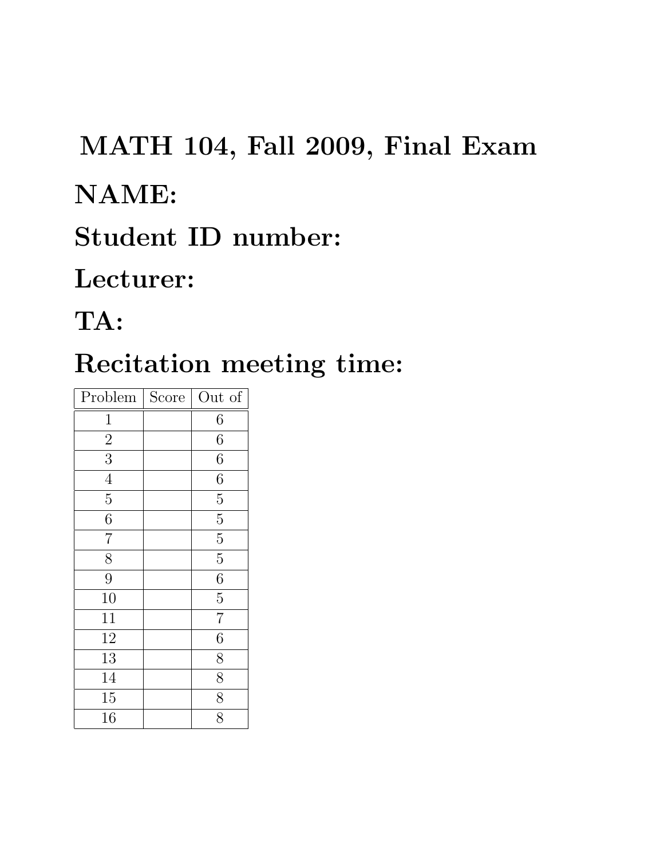# MATH 104, Fall 2009, Final Exam

### NAME:

## Student ID number:

### Lecturer:

# TA:

# Recitation meeting time:

| Problem        | Score | Out of         |
|----------------|-------|----------------|
| $\mathbf{1}$   |       | 6              |
| $\overline{2}$ |       | $\overline{6}$ |
| $\overline{3}$ |       | 6              |
| $\overline{4}$ |       | $\overline{6}$ |
| $\overline{5}$ |       | $\overline{5}$ |
| $\overline{6}$ |       | $\overline{5}$ |
| $\overline{7}$ |       | $\overline{5}$ |
| $\overline{8}$ |       | $\overline{5}$ |
| 9              |       | $\overline{6}$ |
| 10             |       | $\overline{5}$ |
| 11             |       | $\overline{7}$ |
| 12             |       | $\overline{6}$ |
| 13             |       | $\overline{8}$ |
| 14             |       | $\overline{8}$ |
| 15             |       | $\overline{8}$ |
| 16             |       | $\overline{8}$ |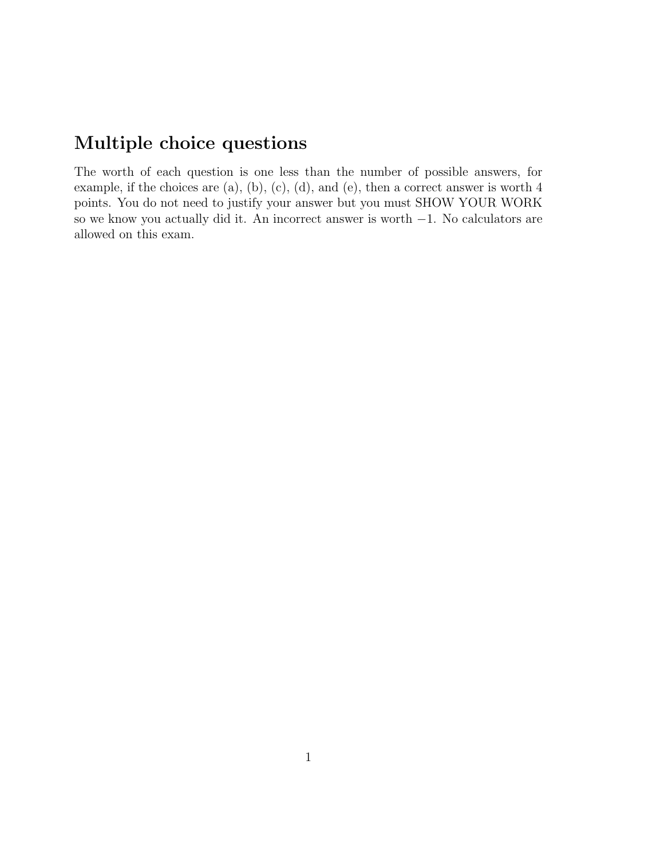#### Multiple choice questions

The worth of each question is one less than the number of possible answers, for example, if the choices are (a), (b), (c), (d), and (e), then a correct answer is worth 4 points. You do not need to justify your answer but you must SHOW YOUR WORK so we know you actually did it. An incorrect answer is worth −1. No calculators are allowed on this exam.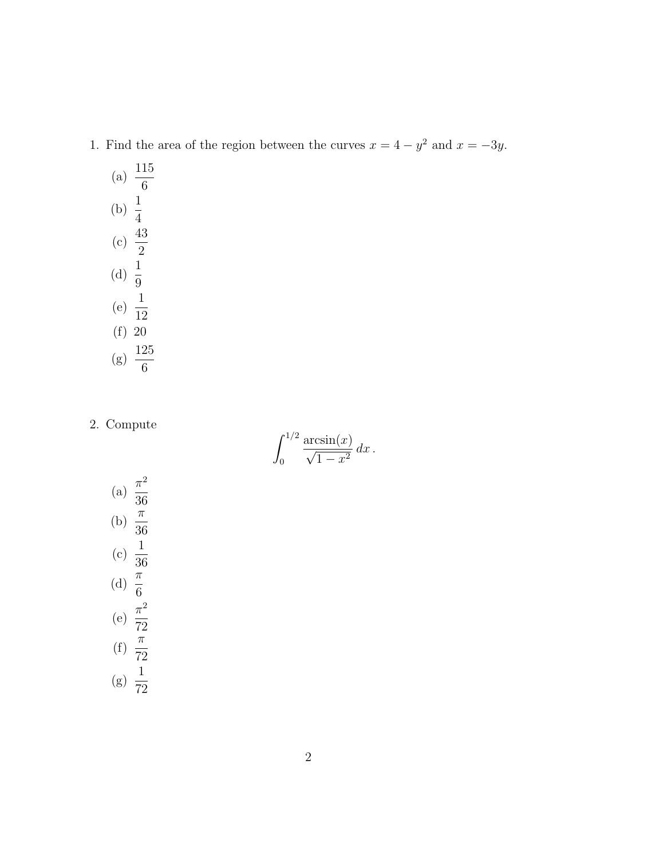- 1. Find the area of the region between the curves  $x = 4 y^2$  and  $x = -3y$ .
	- (a)  $\frac{115}{c}$ 6 (b)  $\frac{1}{4}$ 4  $(c) \frac{43}{2}$ 2 (d)  $\frac{1}{6}$ 9 (e)  $\frac{1}{16}$ 12 (f) 20  $(g) \frac{125}{c}$ 6

2. Compute

$$
\int_0^{1/2} \frac{\arcsin(x)}{\sqrt{1-x^2}} dx.
$$

(a) 
$$
\frac{\pi^2}{36}
$$
  
\n(b)  $\frac{\pi}{36}$   
\n(c)  $\frac{1}{36}$   
\n(d)  $\frac{\pi}{6}$   
\n(e)  $\frac{\pi^2}{72}$   
\n(f)  $\frac{\pi}{72}$   
\n(g)  $\frac{1}{72}$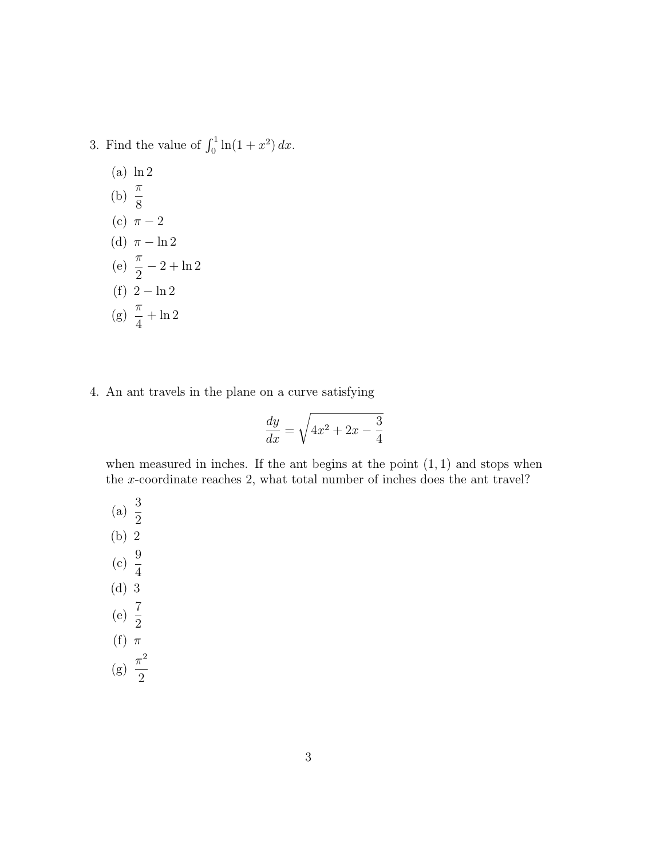- 3. Find the value of  $\int_0^1 \ln(1+x^2) dx$ .
	- (a) ln 2 (b)  $\frac{\pi}{6}$ 8 (c)  $\pi - 2$ (d)  $\pi - \ln 2$ (e)  $\frac{\pi}{2}$ 2  $-2 + \ln 2$ (f)  $2 - \ln 2$  $(g) \frac{\pi}{4}$ 4  $+\ln 2$
- 4. An ant travels in the plane on a curve satisfying

$$
\frac{dy}{dx} = \sqrt{4x^2 + 2x - \frac{3}{4}}
$$

when measured in inches. If the ant begins at the point  $(1, 1)$  and stops when the x-coordinate reaches 2, what total number of inches does the ant travel?

(a)  $\frac{3}{2}$ 2 (b) 2 (c)  $\frac{9}{4}$ 4 (d) 3 (e)  $\frac{7}{8}$ 2 (f)  $\pi$  $(g) \frac{\pi^2}{2}$ 2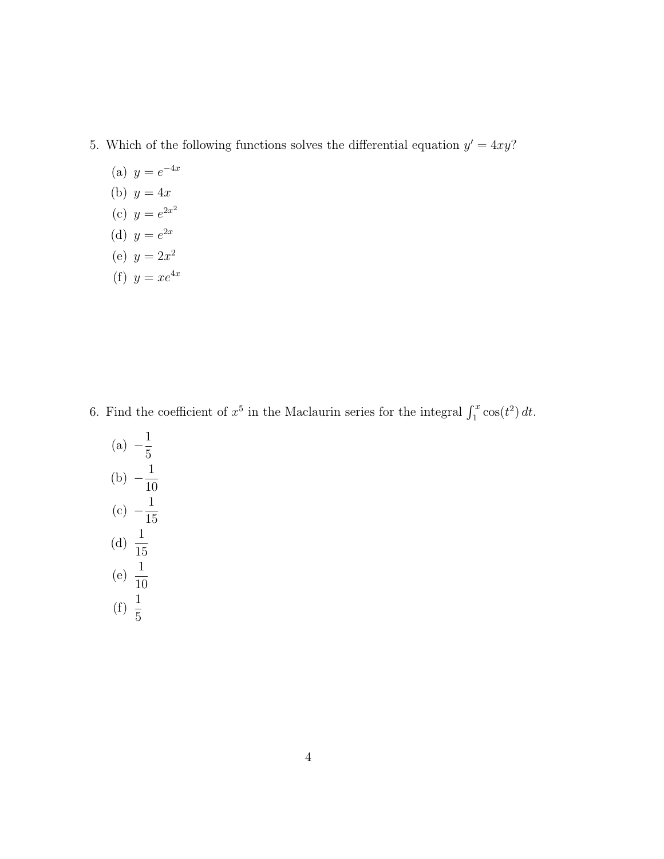- 5. Which of the following functions solves the differential equation  $y' = 4xy$ ?
	- (a)  $y = e^{-4x}$
	- (b)  $y = 4x$
	- (c)  $y = e^{2x^2}$
	- (d)  $y = e^{2x}$
	- (e)  $y = 2x^2$
	- (f)  $y = xe^{4x}$

6. Find the coefficient of  $x^5$  in the Maclaurin series for the integral  $\int_1^x \cos(t^2) dt$ .

(a) 
$$
-\frac{1}{5}
$$
  
\n(b)  $-\frac{1}{10}$   
\n(c)  $-\frac{1}{15}$   
\n(d)  $\frac{1}{15}$   
\n(e)  $\frac{1}{10}$   
\n(f)  $\frac{1}{5}$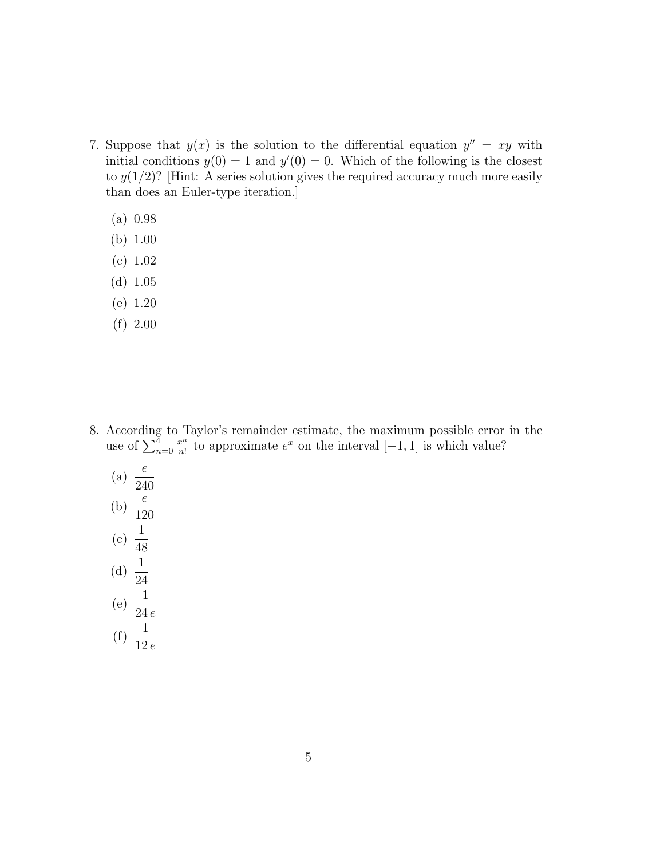- 7. Suppose that  $y(x)$  is the solution to the differential equation  $y'' = xy$  with initial conditions  $y(0) = 1$  and  $y'(0) = 0$ . Which of the following is the closest to  $y(1/2)$ ? [Hint: A series solution gives the required accuracy much more easily than does an Euler-type iteration.]
	- (a) 0.98
	- (b) 1.00
	- (c) 1.02
	- (d) 1.05
	- (e) 1.20
	- (f) 2.00

- 8. According to Taylor's remainder estimate, the maximum possible error in the use of  $\sum_{n=0}^4$  $x^n$  $\frac{x^n}{n!}$  to approximate  $e^x$  on the interval  $[-1, 1]$  is which value?
	- (a)  $\frac{e}{24}$ 240 (b)  $\frac{e}{10}$ 120 (c)  $\frac{1}{46}$ 48 (d)  $\frac{1}{2}$ 24 (e)  $\frac{1}{24}$ 24 e (f)  $\frac{1}{10}$ 
		- 12 e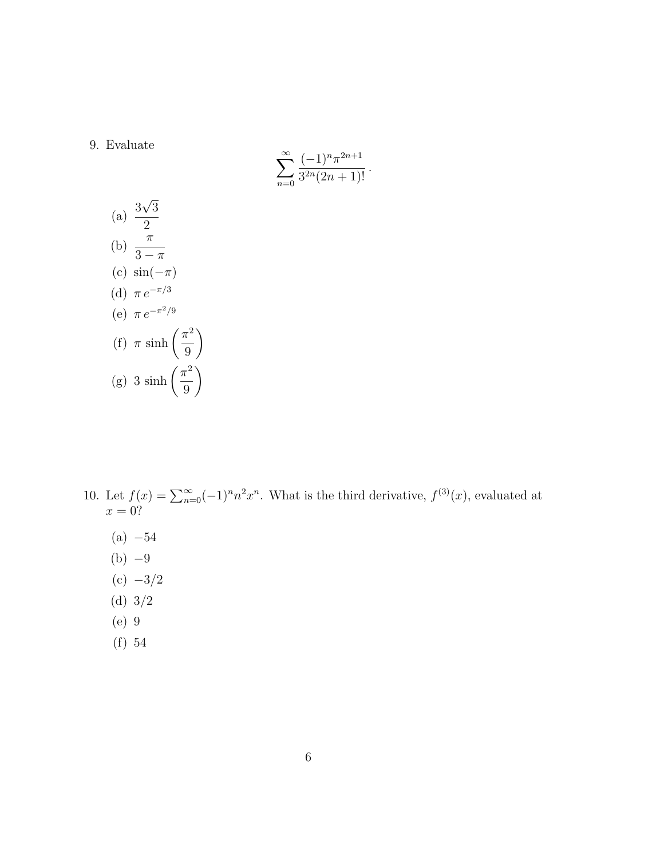#### 9. Evaluate

$$
\sum_{n=0}^{\infty} \frac{(-1)^n \pi^{2n+1}}{3^{2n} (2n+1)!}.
$$

(a) 
$$
\frac{3\sqrt{3}}{2}
$$
  
\n(b) 
$$
\frac{\pi}{3-\pi}
$$
  
\n(c) 
$$
\sin(-\pi)
$$
  
\n(d) 
$$
\pi e^{-\pi/3}
$$
  
\n(e) 
$$
\pi e^{-\pi^2/9}
$$
  
\n(f) 
$$
\pi \sinh\left(\frac{\pi^2}{9}\right)
$$
  
\n(g) 
$$
3 \sinh\left(\frac{\pi^2}{9}\right)
$$

- 10. Let  $f(x) = \sum_{n=0}^{\infty} (-1)^n n^2 x^n$ . What is the third derivative,  $f^{(3)}(x)$ , evaluated at  $x=0$ ?
	- $(a) -54$
	- $(b) -9$
	- $(c) -3/2$
	- (d) 3/2
	- (e) 9
	- (f) 54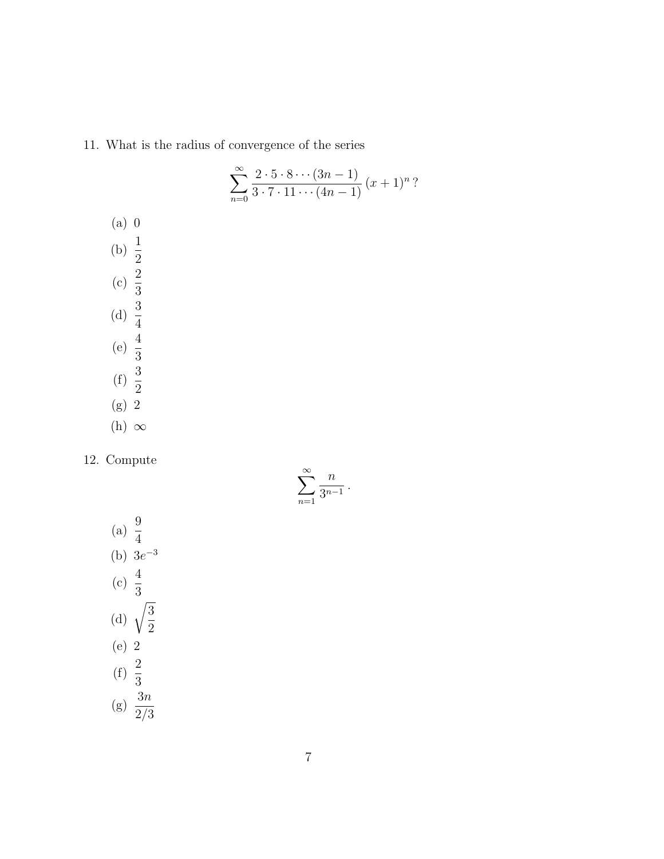11. What is the radius of convergence of the series

$$
\sum_{n=0}^{\infty} \frac{2 \cdot 5 \cdot 8 \cdots (3n-1)}{3 \cdot 7 \cdot 11 \cdots (4n-1)} (x+1)^n ?
$$

- (a) 0 (b)  $\frac{1}{2}$ 2 (c)  $\frac{2}{2}$ 3 (d)  $\frac{3}{4}$ 4 (e)  $\frac{4}{2}$ 3 (f)  $\frac{3}{2}$ 2 (g) 2
- (h)  $\infty$

12. Compute

$$
\sum_{n=1}^{\infty} \frac{n}{3^{n-1}}.
$$

(a) 
$$
\frac{9}{4}
$$
  
\n(b)  $3e^{-3}$   
\n(c)  $\frac{4}{3}$   
\n(d)  $\sqrt{\frac{3}{2}}$   
\n(e) 2  
\n(f)  $\frac{2}{3}$   
\n(g)  $\frac{3n}{2/3}$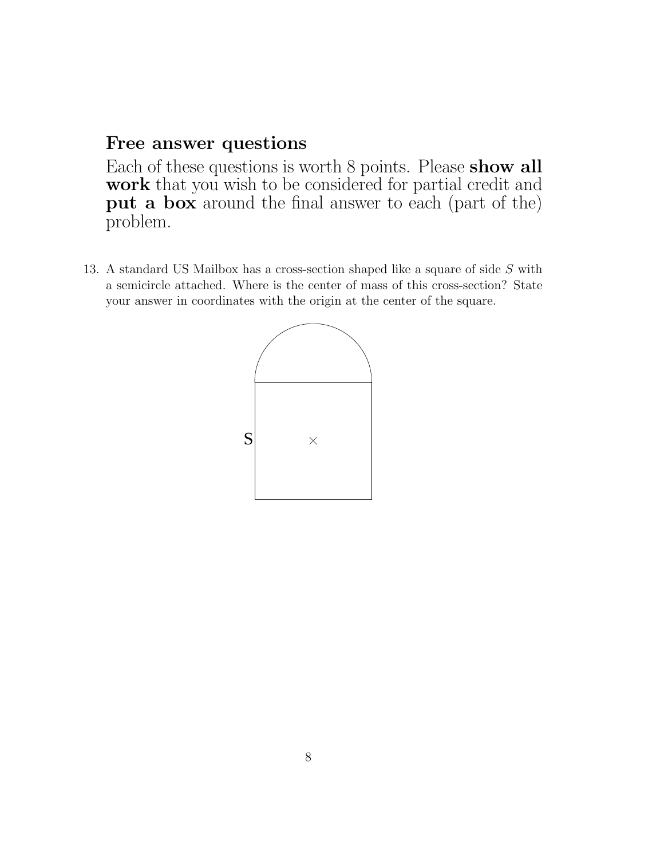#### Free answer questions

Each of these questions is worth 8 points. Please show all work that you wish to be considered for partial credit and put a box around the final answer to each (part of the) problem.

13. A standard US Mailbox has a cross-section shaped like a square of side S with a semicircle attached. Where is the center of mass of this cross-section? State your answer in coordinates with the origin at the center of the square.

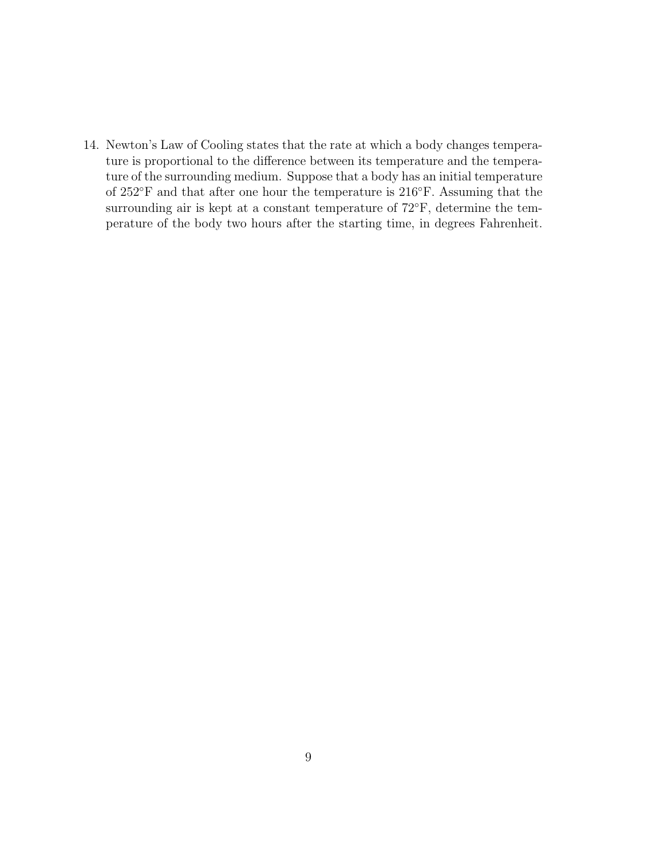14. Newton's Law of Cooling states that the rate at which a body changes temperature is proportional to the difference between its temperature and the temperature of the surrounding medium. Suppose that a body has an initial temperature of 252◦F and that after one hour the temperature is 216◦F. Assuming that the surrounding air is kept at a constant temperature of  $72^{\circ}$ F, determine the temperature of the body two hours after the starting time, in degrees Fahrenheit.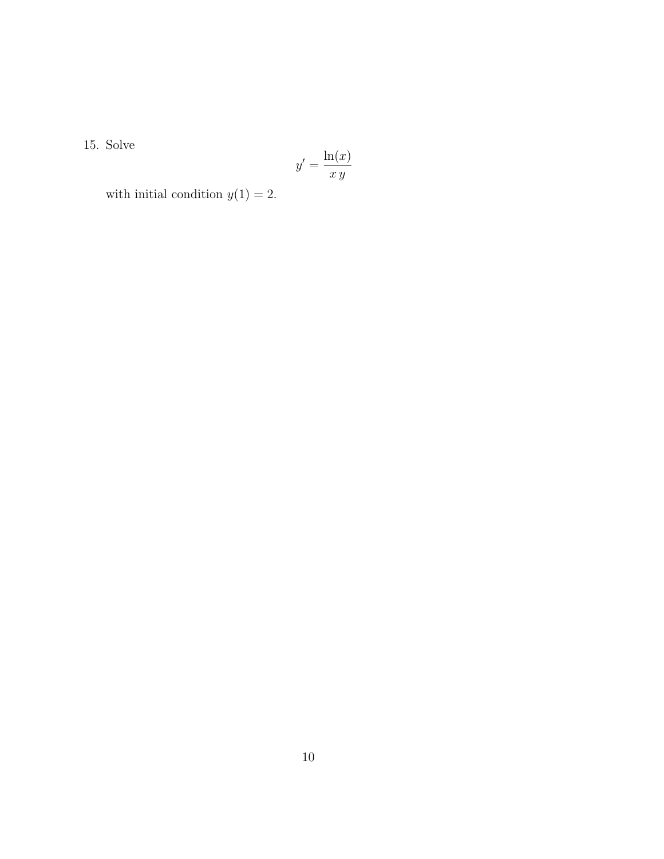15. Solve

$$
y' = \frac{\ln(x)}{x\,y}
$$

with initial condition  $y(1) = 2$ .